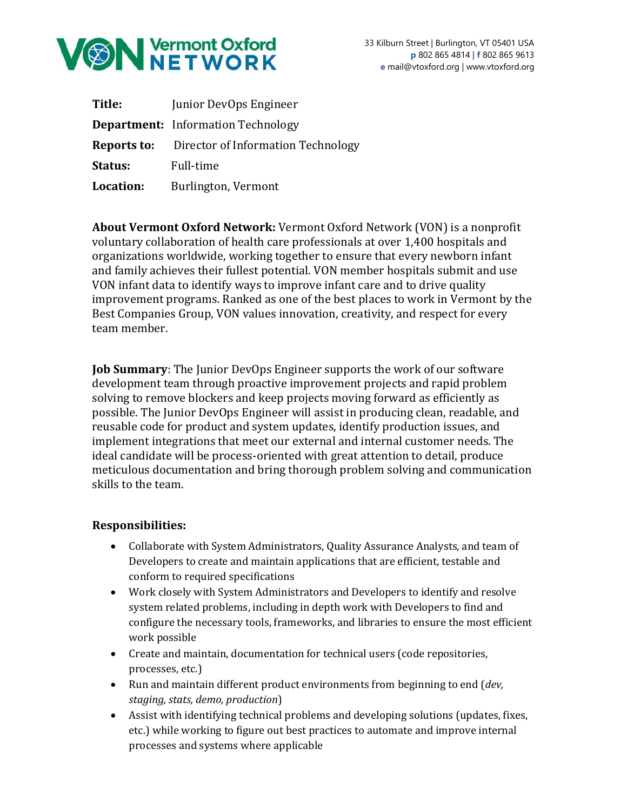

| Title:    | Junior DevOps Engineer                                |
|-----------|-------------------------------------------------------|
|           | <b>Department:</b> Information Technology             |
|           | <b>Reports to:</b> Director of Information Technology |
| Status:   | Full-time                                             |
| Location: | Burlington, Vermont                                   |

**About Vermont Oxford Network:** Vermont Oxford Network (VON) is a nonprofit voluntary collaboration of health care professionals at over 1,400 hospitals and organizations worldwide, working together to ensure that every newborn infant and family achieves their fullest potential. VON member hospitals submit and use VON infant data to identify ways to improve infant care and to drive quality improvement programs. Ranked as one of the best places to work in Vermont by the Best Companies Group, VON values innovation, creativity, and respect for every team member.

**Job Summary**: The Junior DevOps Engineer supports the work of our software development team through proactive improvement projects and rapid problem solving to remove blockers and keep projects moving forward as efficiently as possible. The Junior DevOps Engineer will assist in producing clean, readable, and reusable code for product and system updates, identify production issues, and implement integrations that meet our external and internal customer needs. The ideal candidate will be process-oriented with great attention to detail, produce meticulous documentation and bring thorough problem solving and communication skills to the team.

## **Responsibilities:**

- Collaborate with System Administrators, Quality Assurance Analysts, and team of Developers to create and maintain applications that are efficient, testable and conform to required specifications
- Work closely with System Administrators and Developers to identify and resolve system related problems, including in depth work with Developers to find and configure the necessary tools, frameworks, and libraries to ensure the most efficient work possible
- Create and maintain, documentation for technical users (code repositories, processes, etc.)
- Run and maintain different product environments from beginning to end (*dev, staging, stats, demo, production*)
- Assist with identifying technical problems and developing solutions (updates, fixes, etc.) while working to figure out best practices to automate and improve internal processes and systems where applicable